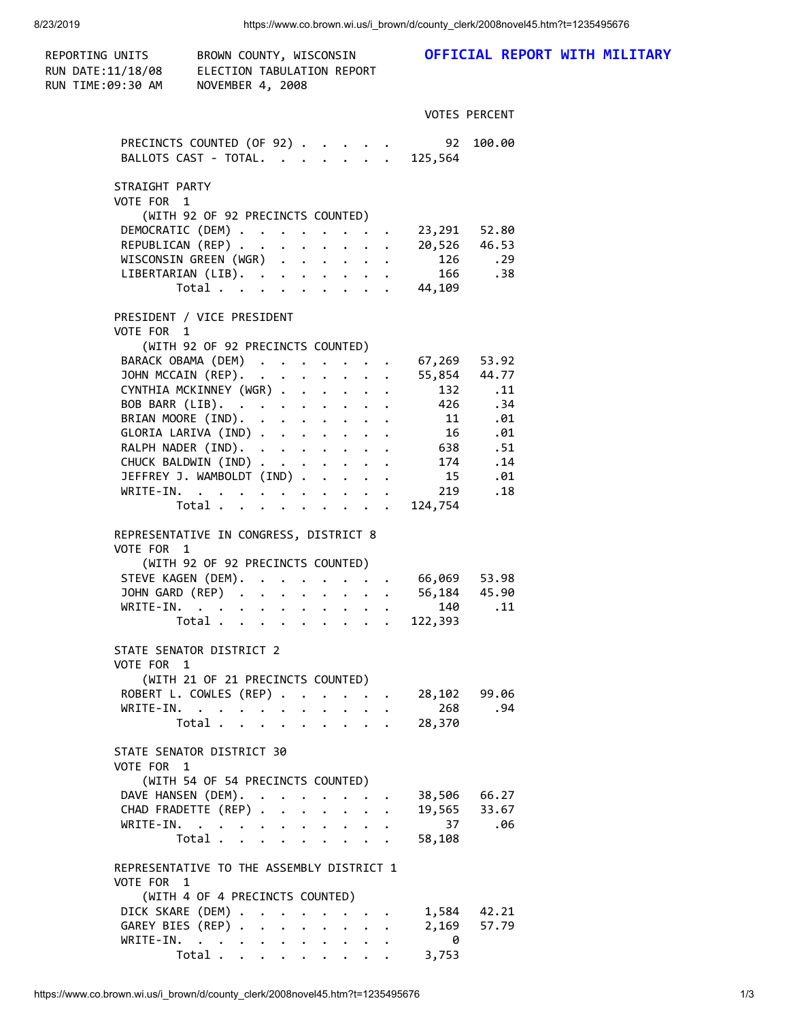| REPORTING UNITS<br>RUN DATE:11/18/08<br>RUN TIME:09:30 AM | BROWN COUNTY, WISCONSIN<br>ELECTION TABULATION REPORT<br>NOVEMBER 4, 2008                                      |  |                   | OFFICIAL REPORT WITH MILITARY |  |  |
|-----------------------------------------------------------|----------------------------------------------------------------------------------------------------------------|--|-------------------|-------------------------------|--|--|
|                                                           |                                                                                                                |  |                   | <b>VOTES PERCENT</b>          |  |  |
|                                                           | PRECINCTS COUNTED (OF 92) 92 100.00<br>BALLOTS CAST - TOTAL. 125,564                                           |  |                   |                               |  |  |
| STRAIGHT PARTY<br>VOTE FOR 1                              |                                                                                                                |  |                   |                               |  |  |
|                                                           | (WITH 92 OF 92 PRECINCTS COUNTED)                                                                              |  |                   |                               |  |  |
|                                                           | DEMOCRATIC (DEM) 23,291 52.80                                                                                  |  |                   |                               |  |  |
|                                                           | REPUBLICAN (REP) 20,526 46.53                                                                                  |  |                   |                               |  |  |
|                                                           |                                                                                                                |  |                   | $126$ . 29<br>166 . 38        |  |  |
|                                                           | WISCONSIN GREEN (WGR)<br>LIBERTARIAN (LIB). 166<br>Total 44,109                                                |  |                   |                               |  |  |
| VOTE FOR 1                                                | PRESIDENT / VICE PRESIDENT                                                                                     |  |                   |                               |  |  |
|                                                           | (WITH 92 OF 92 PRECINCTS COUNTED)                                                                              |  |                   |                               |  |  |
|                                                           | BARACK OBAMA (DEM) 67,269 53.92<br>BARACK OBAMA (UEM) 55,<br>JOHN MCCAIN (REP). 55,                            |  |                   | 55,854 44.77                  |  |  |
|                                                           |                                                                                                                |  |                   | 132 .11                       |  |  |
|                                                           | BOB BARR (LIB). 426 .34                                                                                        |  |                   |                               |  |  |
|                                                           | BRIAN MOORE (IND). 11 .01                                                                                      |  |                   |                               |  |  |
|                                                           | GLORIA LARIVA (IND) 16 .01                                                                                     |  |                   |                               |  |  |
|                                                           | RALPH NADER (IND). 638 .51                                                                                     |  |                   |                               |  |  |
|                                                           | CHUCK BALDWIN (IND) 174 .14                                                                                    |  |                   |                               |  |  |
|                                                           | JEFFREY J. WAMBOLDT (IND)                                                                                      |  | 15 .01<br>219 .18 |                               |  |  |
|                                                           | WRITE-IN.<br>Total 124,754                                                                                     |  |                   |                               |  |  |
| VOTE FOR 1                                                | REPRESENTATIVE IN CONGRESS, DISTRICT 8<br>(WITH 92 OF 92 PRECINCTS COUNTED)<br>STEVE KAGEN (DEM). 66,069 53.98 |  |                   |                               |  |  |
|                                                           | JOHN GARD (REP) 56,184 45.90                                                                                   |  |                   |                               |  |  |
|                                                           | WRITE-IN.                                                                                                      |  |                   | 140 .11                       |  |  |
|                                                           | Total                                                                                                          |  | 122,393           |                               |  |  |
| VOTE FOR 1                                                | STATE SENATOR DISTRICT 2                                                                                       |  |                   |                               |  |  |
|                                                           | (WITH 21 OF 21 PRECINCTS COUNTED)<br>ROBERT L. COWLES (REP)                                                    |  |                   | 28,102 99.06                  |  |  |
|                                                           | WRITE-IN.                                                                                                      |  |                   | 268.94                        |  |  |
|                                                           | Total $\cdots$ $\cdots$ $\cdots$                                                                               |  | 28,370            |                               |  |  |
| VOTE FOR 1                                                | STATE SENATOR DISTRICT 30<br>(WITH 54 OF 54 PRECINCTS COUNTED)                                                 |  |                   |                               |  |  |
|                                                           | DAVE HANSEN (DEM).                                                                                             |  |                   | 38,506 66.27                  |  |  |
|                                                           | CHAD FRADETTE (REP)                                                                                            |  |                   | 19,565 33.67                  |  |  |
|                                                           | WRITE-IN.                                                                                                      |  |                   | 37.06                         |  |  |
|                                                           | Total $\cdots$                                                                                                 |  | 58,108            |                               |  |  |
| VOTE FOR 1                                                | REPRESENTATIVE TO THE ASSEMBLY DISTRICT 1                                                                      |  |                   |                               |  |  |
|                                                           | (WITH 4 OF 4 PRECINCTS COUNTED)                                                                                |  |                   |                               |  |  |
|                                                           | DICK SKARE (DEM)<br>GAREY BIES (REP)                                                                           |  |                   | 1,584 42.21<br>2,169 57.79    |  |  |
|                                                           | WRITE-IN.                                                                                                      |  | $\theta$          |                               |  |  |
|                                                           | Total $\cdots$ $\cdots$ $\cdots$                                                                               |  | 3,753             |                               |  |  |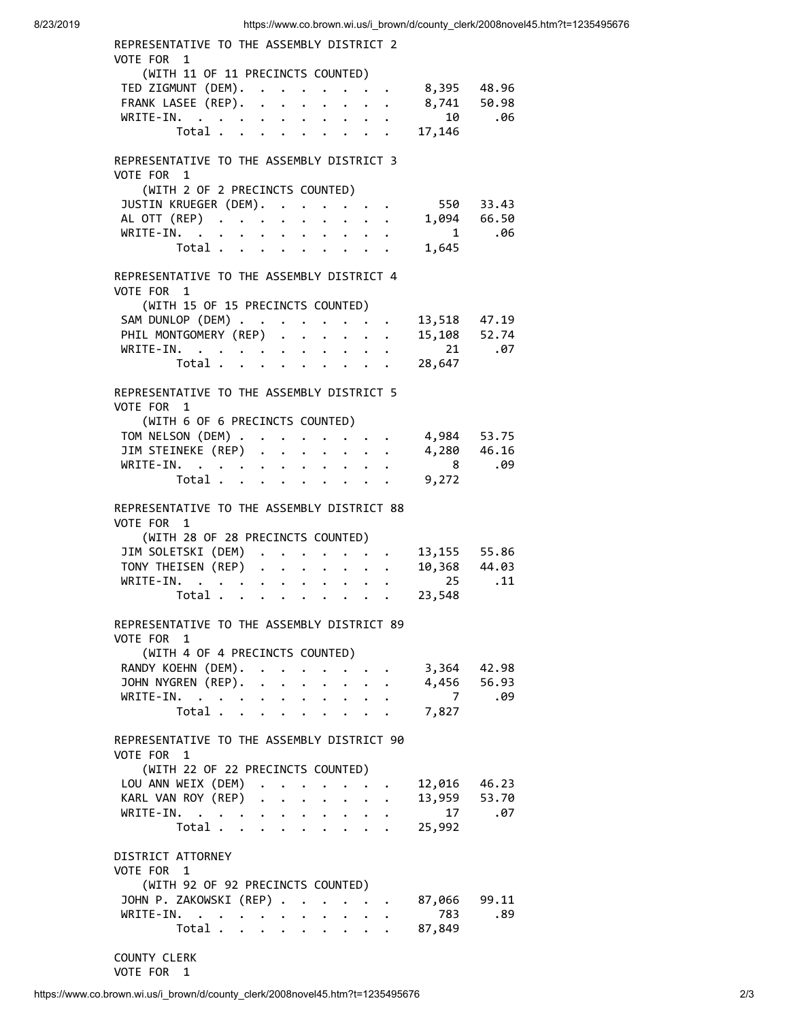| REPRESENTATIVE TO THE ASSEMBLY DISTRICT 2                                                                                                                                       |                                      |                        |
|---------------------------------------------------------------------------------------------------------------------------------------------------------------------------------|--------------------------------------|------------------------|
| VOTE FOR 1<br>(WITH 11 OF 11 PRECINCTS COUNTED)                                                                                                                                 |                                      |                        |
| TED ZIGMUNT (DEM).                                                                                                                                                              | 8,395 48.96                          |                        |
| FRANK LASEE (REP).<br>$\mathbf{r}$                                                                                                                                              | 8,741 50.98                          |                        |
| WRITE-IN.<br>$\cdot$ $\cdot$ $\cdot$<br>$\cdot$ $\cdot$ $\cdot$                                                                                                                 | $10$ .06                             |                        |
| Total<br>$\cdot$ $\cdot$ $\cdot$                                                                                                                                                | 17,146                               |                        |
|                                                                                                                                                                                 |                                      |                        |
| REPRESENTATIVE TO THE ASSEMBLY DISTRICT 3                                                                                                                                       |                                      |                        |
| VOTE FOR 1                                                                                                                                                                      |                                      |                        |
| (WITH 2 OF 2 PRECINCTS COUNTED)                                                                                                                                                 |                                      |                        |
| JUSTIN KRUEGER (DEM).<br>$\mathbf{r} = \mathbf{r} + \mathbf{r} + \mathbf{r}$ .                                                                                                  |                                      | 550 33.43              |
| AL OTT (REP)<br>$\ddot{\phantom{0}}$<br>$\ddot{\phantom{a}}$<br>$\ddot{\phantom{0}}$<br>$\ddot{\phantom{0}}$<br>$\bullet$ .                                                     |                                      | $1,094$ 66.50<br>1 .06 |
| WRITE-IN.                                                                                                                                                                       |                                      |                        |
| Total                                                                                                                                                                           | 1,645                                |                        |
| REPRESENTATIVE TO THE ASSEMBLY DISTRICT 4                                                                                                                                       |                                      |                        |
| VOTE FOR 1                                                                                                                                                                      |                                      |                        |
| (WITH 15 OF 15 PRECINCTS COUNTED)                                                                                                                                               |                                      |                        |
| SAM DUNLOP (DEM)                                                                                                                                                                |                                      |                        |
| PHIL MONTGOMERY (REP) .<br>$\mathbf{L}$<br>$\ddot{\phantom{0}}$<br>$\ddot{\phantom{0}}$                                                                                         | 13,518 47.19<br>15,108 52.74         |                        |
| WRITE-IN.                                                                                                                                                                       | $21$ .07                             |                        |
| Total<br>$\mathbf{r}$ , $\mathbf{r}$ , $\mathbf{r}$ , $\mathbf{r}$                                                                                                              | 28,647                               |                        |
|                                                                                                                                                                                 |                                      |                        |
| REPRESENTATIVE TO THE ASSEMBLY DISTRICT 5                                                                                                                                       |                                      |                        |
| VOTE FOR 1                                                                                                                                                                      |                                      |                        |
| (WITH 6 OF 6 PRECINCTS COUNTED)<br>TOM NELSON (DEM)                                                                                                                             | 4,984 53.75                          |                        |
| $\begin{array}{cccccccccccccc} \bullet & \bullet & \bullet & \bullet & \bullet & \bullet & \bullet & \bullet \end{array}$<br>JIM STEINEKE (REP)<br>$\mathbf{L}$<br>$\mathbf{r}$ |                                      |                        |
| $WRITE-IN.$<br>$\cdot$ $\cdot$ $\cdot$ $\cdot$ $\cdot$ $\cdot$ $\cdot$                                                                                                          | $4,280$ $46.16$<br>8 .09             |                        |
| Total $\cdots$ $\cdots$ $\cdots$                                                                                                                                                | 9,272                                |                        |
|                                                                                                                                                                                 |                                      |                        |
| REPRESENTATIVE TO THE ASSEMBLY DISTRICT 88                                                                                                                                      |                                      |                        |
| VOTE FOR 1                                                                                                                                                                      |                                      |                        |
| (WITH 28 OF 28 PRECINCTS COUNTED)                                                                                                                                               |                                      |                        |
| JIM SOLETSKI (DEM)                                                                                                                                                              | 13,155     55.86<br>10,368     44.03 |                        |
| TONY THEISEN (REP)<br>$\ddot{\phantom{0}}$<br>$\ddot{\phantom{a}}$<br>$\ddot{\phantom{0}}$                                                                                      | $25$ .11                             |                        |
| WRITE-IN.<br>$\cdot$ $\cdot$ $\cdot$ $\cdot$<br>$\cdot$ $\cdot$ $\cdot$                                                                                                         |                                      |                        |
| Total                                                                                                                                                                           | 23,548                               |                        |
| REPRESENTATIVE TO THE ASSEMBLY DISTRICT 89                                                                                                                                      |                                      |                        |
| VOTE FOR 1                                                                                                                                                                      |                                      |                        |
| (WITH 4 OF 4 PRECINCTS COUNTED)                                                                                                                                                 |                                      |                        |
| RANDY KOEHN (DEM).<br>$\mathbf{r} = \mathbf{r} + \mathbf{r}$                                                                                                                    | 3,364                                | 42.98                  |
| JOHN NYGREN (REP).<br>$\sim$                                                                                                                                                    |                                      | 4,456 56.93            |
| WRITE-IN.<br>$\mathbf{r} = \mathbf{r} + \mathbf{r}$ .<br>$\ddot{\phantom{0}}$<br>$\mathbf{L}$                                                                                   |                                      | 7.09                   |
| Total<br>$\ddot{\phantom{1}}$                                                                                                                                                   | 7,827                                |                        |
|                                                                                                                                                                                 |                                      |                        |
| REPRESENTATIVE TO THE ASSEMBLY DISTRICT 90                                                                                                                                      |                                      |                        |
| VOTE FOR 1<br>(WITH 22 OF 22 PRECINCTS COUNTED)                                                                                                                                 |                                      |                        |
| LOU ANN WEIX (DEM).                                                                                                                                                             | 12,016 46.23                         |                        |
| KARL VAN ROY (REP)<br>$\ddot{\phantom{0}}$                                                                                                                                      | 13,959 53.70                         |                        |
| WRITE-IN.<br>$\ddot{\phantom{0}}$<br>$\mathbf{L}$<br>$\ddot{\phantom{0}}$<br>$\ddot{\phantom{0}}$<br>$\ddot{\phantom{0}}$                                                       | $17$ .07                             |                        |
| Total $\cdots$ $\cdots$ $\cdots$<br>$\mathbf{L}$                                                                                                                                | 25,992                               |                        |
|                                                                                                                                                                                 |                                      |                        |
| DISTRICT ATTORNEY                                                                                                                                                               |                                      |                        |
| VOTE FOR 1                                                                                                                                                                      |                                      |                        |
| (WITH 92 OF 92 PRECINCTS COUNTED)                                                                                                                                               |                                      |                        |
| JOHN P. ZAKOWSKI (REP)                                                                                                                                                          | 87,066 99.11                         |                        |
| WRITE-IN.                                                                                                                                                                       | 783                                  | .89                    |
| Total<br>$\mathbf{r}$ , $\mathbf{r}$ , $\mathbf{r}$<br>$\cdot$ $\cdot$ $\cdot$                                                                                                  | 87,849                               |                        |
|                                                                                                                                                                                 |                                      |                        |

COUNTY CLERK

VOTE FOR 1